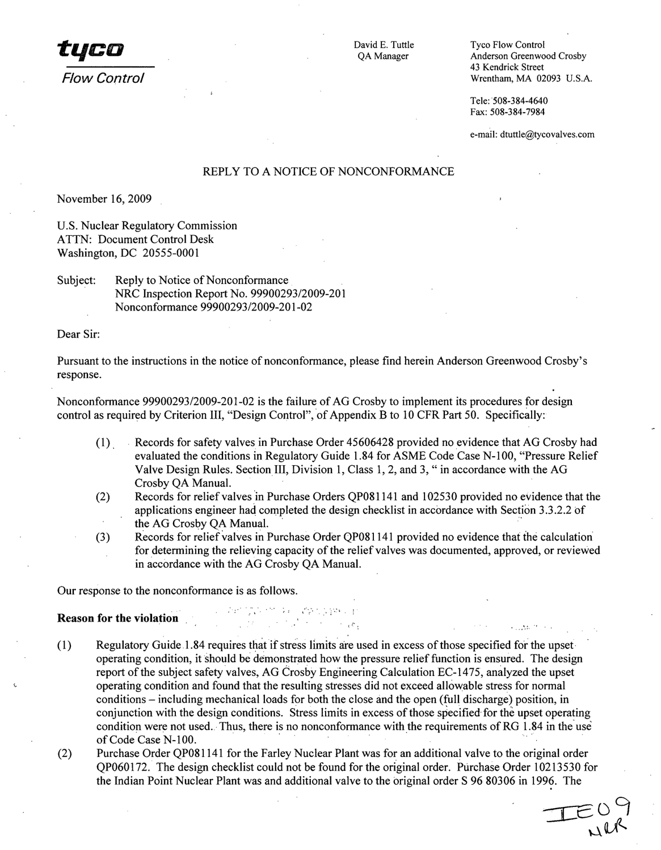**17T CO** David E. Tuttle Tyco Flow Control Tyco Flow Control David E. Tuttle Tyco Flow Control

QA Manager **Anderson Greenwood Crosby** 43 Kendrick Street *Flow Control* Wrentham, MA 02093 U.S.A.

> Tele: 508-384-4640 Fax: 508-384-7984

e-mail: dtuttle@tycovalves.com

# REPLY TO A NOTICE OF NONCONFORMANCE

November 16, 2009

U.S. Nuclear Regulatory Commission ATTN: Document Control Desk Washington, DC 20555-0001

Subject: Reply to Notice of Nonconformance NRC Inspection Report No. 99900293/2009-201 Nonconformance 99900293/2009-201-02

Dear Sir:

Pursuant to the instructions in the notice of nonconformance, please find herein Anderson Greenwood Crosby's response.

Nonconformance 99900293/2009-201-02 is the failure of AG Crosby to implement its procedures for design control as required by Criterion III, "Design Control", of Appendix B to 10 CFR Part 50. Specifically:

- (1) Records for safety valves in Purchase Order 45606428 provided no evidence that AG Crosby had evaluated the conditions in Regulatory Guide 1.84 for ASME Code Case N-100, "Pressure Relief Valve Design Rules. Section III, Division 1, Class 1, 2, and 3, "in accordance with the AG Crosby QA Manual.
- (2) Records for relief valves in Purchase Orders QP081141 and 102530 provided no evidence that the applications engineer had completed the design checklist in accordance with Section 3.3.2.2 of the AG Crosby QA Manual.
- (3) Records for relief valves in Purchase Order QP081141 provided no evidence that the calculation for determining the relieving capacity of the relief valves was documented, approved, or reviewed in accordance with the AG Crosby QA Manual.

 $\sim_{\alpha} e_{\alpha}$ 

Our response to the nonconformance is as follows.

## Reason for the violation

**(1)** Regulatory Guide. 1.84 requires that if stress limits are used in excess of those specified for the upset operating condition, it should be demonstrated how the pressure relief function is ensured. The design report of the subject safety valves, AG Crosby Engineering Calculation EC-1475, analyzed the upset operating condition and found that the resulting stresses did not exceed allowable stress for normal conditions - including mechanical loads for both the close and the open (ful! discharge) position, in conjunction with the design conditions. Stress limits in excess of those specified for the upset operating condition were not used. Thus, there is no nonconformance with the requirements of RG 1.84 in the use of Code Case N-100.

第二章 1728-24  $\label{eq:2.1} \mathcal{L} = \mathcal{L} \left( \frac{1}{2} \sum_{i=1}^n \mathcal{L}_i \left( \mathcal{L}_i \right) \right) \mathcal{L}_i \left( \mathcal{L}_i \right)$ 

(2) Purchase Order QP081141 for the Farley Nuclear Plant was for an additional valve to the original order QP060172. The design checklist could not be found for the original order. Purchase Order 10213530 for the Indian Point Nuclear Plant was and additional valve to the original order **S** 96 80306 in 1996. The